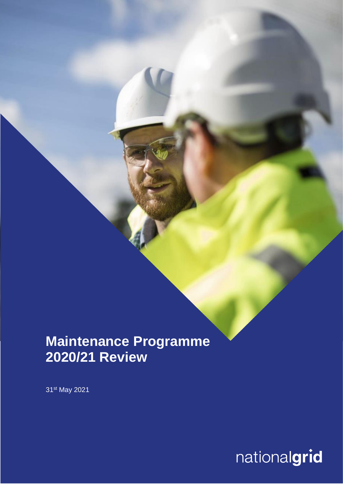# **Maintenance Programme 2020/21 Review**

31<sup>st</sup> May 2021

nationalgrid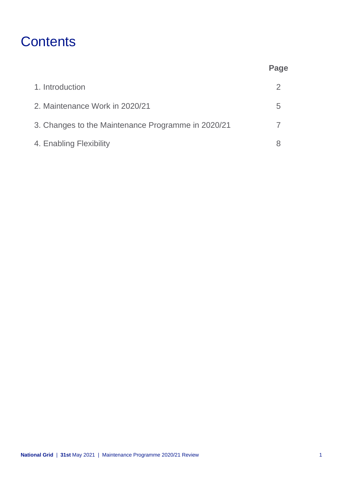# **Contents**

|                                                    | Page          |
|----------------------------------------------------|---------------|
| 1. Introduction                                    | $\mathcal{P}$ |
| 2. Maintenance Work in 2020/21                     | 5             |
| 3. Changes to the Maintenance Programme in 2020/21 |               |
| 4. Enabling Flexibility                            |               |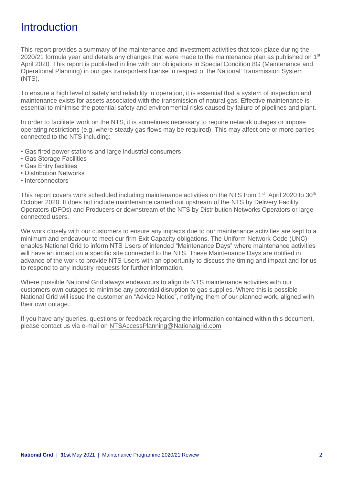### **Introduction**

This report provides a summary of the maintenance and investment activities that took place during the 2020/21 formula year and details any changes that were made to the maintenance plan as published on  $1<sup>st</sup>$ April 2020. This report is published in line with our obligations in Special Condition 8G (Maintenance and Operational Planning) in our gas transporters license in respect of the National Transmission System (NTS).

To ensure a high level of safety and reliability in operation, it is essential that a system of inspection and maintenance exists for assets associated with the transmission of natural gas. Effective maintenance is essential to minimise the potential safety and environmental risks caused by failure of pipelines and plant.

In order to facilitate work on the NTS, it is sometimes necessary to require network outages or impose operating restrictions (e.g. where steady gas flows may be required). This may affect one or more parties connected to the NTS including:

- Gas fired power stations and large industrial consumers
- Gas Storage Facilities
- Gas Entry facilities
- Distribution Networks
- Interconnectors

This report covers work scheduled including maintenance activities on the NTS from 1<sup>st</sup> April 2020 to 30<sup>th</sup> October 2020. It does not include maintenance carried out upstream of the NTS by Delivery Facility Operators (DFOs) and Producers or downstream of the NTS by Distribution Networks Operators or large connected users.

We work closely with our customers to ensure any impacts due to our maintenance activities are kept to a minimum and endeavour to meet our firm Exit Capacity obligations. The Uniform Network Code (UNC) enables National Grid to inform NTS Users of intended "Maintenance Days" where maintenance activities will have an impact on a specific site connected to the NTS. These Maintenance Days are notified in advance of the work to provide NTS Users with an opportunity to discuss the timing and impact and for us to respond to any industry requests for further information.

Where possible National Grid always endeavours to align its NTS maintenance activities with our customers own outages to minimise any potential disruption to gas supplies. Where this is possible National Grid will issue the customer an "Advice Notice", notifying them of our planned work, aligned with their own outage.

If you have any queries, questions or feedback regarding the information contained within this document, please contact us via e-mail on [NTSAccessPlanning@Nationalgrid.com](mailto:NTSAccessPlanning@Nationalgrid.com)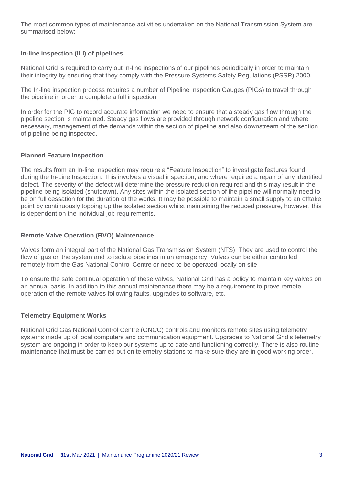The most common types of maintenance activities undertaken on the National Transmission System are summarised below:

#### **In-line inspection (ILI) of pipelines**

National Grid is required to carry out In-line inspections of our pipelines periodically in order to maintain their integrity by ensuring that they comply with the Pressure Systems Safety Regulations (PSSR) 2000.

The In-line inspection process requires a number of Pipeline Inspection Gauges (PIGs) to travel through the pipeline in order to complete a full inspection.

In order for the PIG to record accurate information we need to ensure that a steady gas flow through the pipeline section is maintained. Steady gas flows are provided through network configuration and where necessary, management of the demands within the section of pipeline and also downstream of the section of pipeline being inspected.

#### **Planned Feature Inspection**

The results from an In-line Inspection may require a "Feature Inspection" to investigate features found during the In-Line Inspection. This involves a visual inspection, and where required a repair of any identified defect. The severity of the defect will determine the pressure reduction required and this may result in the pipeline being isolated (shutdown). Any sites within the isolated section of the pipeline will normally need to be on full cessation for the duration of the works. It may be possible to maintain a small supply to an offtake point by continuously topping up the isolated section whilst maintaining the reduced pressure, however, this is dependent on the individual job requirements.

#### **Remote Valve Operation (RVO) Maintenance**

Valves form an integral part of the National Gas Transmission System (NTS). They are used to control the flow of gas on the system and to isolate pipelines in an emergency. Valves can be either controlled remotely from the Gas National Control Centre or need to be operated locally on site.

To ensure the safe continual operation of these valves, National Grid has a policy to maintain key valves on an annual basis. In addition to this annual maintenance there may be a requirement to prove remote operation of the remote valves following faults, upgrades to software, etc.

#### **Telemetry Equipment Works**

National Grid Gas National Control Centre (GNCC) controls and monitors remote sites using telemetry systems made up of local computers and communication equipment. Upgrades to National Grid's telemetry system are ongoing in order to keep our systems up to date and functioning correctly. There is also routine maintenance that must be carried out on telemetry stations to make sure they are in good working order.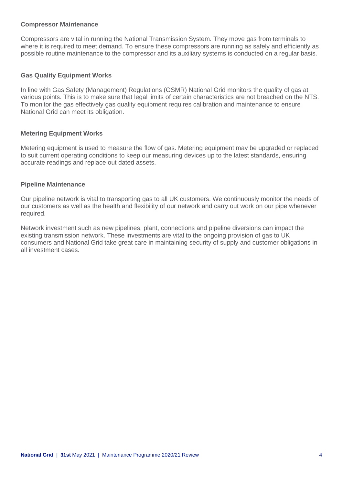#### **Compressor Maintenance**

Compressors are vital in running the National Transmission System. They move gas from terminals to where it is required to meet demand. To ensure these compressors are running as safely and efficiently as possible routine maintenance to the compressor and its auxiliary systems is conducted on a regular basis.

#### **Gas Quality Equipment Works**

In line with Gas Safety (Management) Regulations (GSMR) National Grid monitors the quality of gas at various points. This is to make sure that legal limits of certain characteristics are not breached on the NTS. To monitor the gas effectively gas quality equipment requires calibration and maintenance to ensure National Grid can meet its obligation.

#### **Metering Equipment Works**

Metering equipment is used to measure the flow of gas. Metering equipment may be upgraded or replaced to suit current operating conditions to keep our measuring devices up to the latest standards, ensuring accurate readings and replace out dated assets.

#### **Pipeline Maintenance**

Our pipeline network is vital to transporting gas to all UK customers. We continuously monitor the needs of our customers as well as the health and flexibility of our network and carry out work on our pipe whenever required.

Network investment such as new pipelines, plant, connections and pipeline diversions can impact the existing transmission network. These investments are vital to the ongoing provision of gas to UK consumers and National Grid take great care in maintaining security of supply and customer obligations in all investment cases.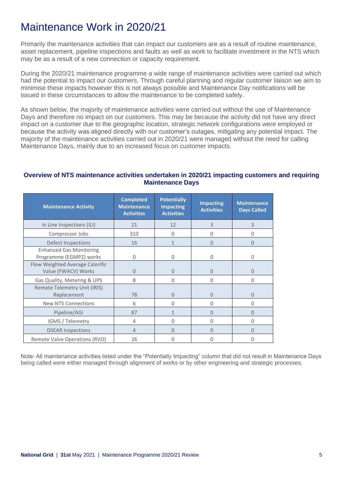## Maintenance Work in 2020/21

Primarily the maintenance activities that can impact our customers are as a result of routine maintenance, asset replacement, pipeline inspections and faults as well as work to facilitate investment in the NTS which may be as a result of a new connection or capacity requirement.

During the 2020/21 maintenance programme a wide range of maintenance activities were carried out which had the potential to impact our customers. Through careful planning and regular customer liaison we aim to minimise these impacts however this is not always possible and Maintenance Day notifications will be issued in these circumstances to allow the maintenance to be completed safely.

As shown below, the majority of maintenance activities were carried out without the use of Maintenance Days and therefore no impact on our customers. This may be because the activity did not have any direct impact on a customer due to the geographic location, strategic network configurations were employed or because the activity was aligned directly with our customer's outages, mitigating any potential impact. The majority of the maintenance activities carried out in 2020/21 were managed without the need for calling Maintenance Days, mainly due to an increased focus on customer impacts.

#### **Overview of NTS maintenance activities undertaken in 2020/21 impacting customers and requiring Maintenance Days**

| <b>Maintenance Activity</b>                               | <b>Completed</b><br><b>Maintenance</b><br><b>Activities</b> | <b>Potentially</b><br><b>Impacting</b><br><b>Activities</b> | <b>Impacting</b><br><b>Activities</b> | <b>Maintenance</b><br><b>Days Called</b> |
|-----------------------------------------------------------|-------------------------------------------------------------|-------------------------------------------------------------|---------------------------------------|------------------------------------------|
| In Line Inspections (ILI)                                 | 21                                                          | 12                                                          | 3                                     | 3                                        |
| Compressor Jobs                                           | 310                                                         | $\Omega$                                                    | 0                                     | 0                                        |
| Defect Inspections                                        | 16                                                          | 1                                                           | 0                                     | 0                                        |
| <b>Enhanced Gas Monitoring</b><br>Programme (EGMP2) works | 0                                                           | 0                                                           | 0                                     | 0                                        |
| Flow Weighted Average Calorific<br>Value (FWACV) Works    | $\Omega$                                                    | $\overline{0}$                                              | $\Omega$                              | 0                                        |
| Gas Quality, Metering & UPS                               | 8                                                           | 0                                                           | 0                                     | 0                                        |
| Remote Telemetry Unit (IRIS)<br>Replacement               | 78                                                          | $\Omega$                                                    | 0                                     | 0                                        |
| <b>New NTS Connections</b>                                | 6                                                           | $\Omega$                                                    | 0                                     | 0                                        |
| Pipeline/AGI                                              | 87                                                          | $\mathbf{1}$                                                | 0                                     | 0                                        |
| IGMS / Telemetry                                          | 4                                                           | 0                                                           | 0                                     | 0                                        |
| <b>DSEAR Inspections</b>                                  | $\overline{4}$                                              | $\Omega$                                                    | U                                     | 0                                        |
| Remote Valve Operations (RVO)                             | 26                                                          | 0                                                           | O                                     |                                          |

Note: All maintenance activities listed under the "Potentially Impacting" column that did not result in Maintenance Days being called were either managed through alignment of works or by other engineering and strategic processes.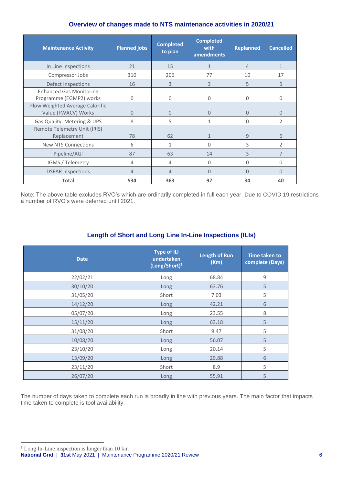#### **Overview of changes made to NTS maintenance activities in 2020/21**

| <b>Maintenance Activity</b>                               | <b>Planned jobs</b> | <b>Completed</b><br>to plan | <b>Completed</b><br>with<br>amendments | <b>Replanned</b> | <b>Cancelled</b> |
|-----------------------------------------------------------|---------------------|-----------------------------|----------------------------------------|------------------|------------------|
| In Line Inspections                                       | 21                  | 15                          | $\mathbf{1}$                           | $\overline{4}$   | $\mathbf{1}$     |
| Compressor Jobs                                           | 310                 | 206                         | 77                                     | 10               | 17               |
| Defect Inspections                                        | 16                  | 3                           | 3                                      | 5                | 5                |
| <b>Enhanced Gas Monitoring</b><br>Programme (EGMP2) works | $\mathbf 0$         | 0                           | $\mathbf 0$                            | $\Omega$         | 0                |
| Flow Weighted Average Calorific<br>Value (FWACV) Works    | $\overline{0}$      | 0                           | $\Omega$                               | $\Omega$         | $\overline{0}$   |
| Gas Quality, Metering & UPS                               | 8                   | 5                           | 1                                      | 0                | $\overline{2}$   |
| Remote Telemetry Unit (IRIS)<br>Replacement               | 78                  | 62                          | $\mathbf{1}$                           | 9                | 6                |
| <b>New NTS Connections</b>                                | 6                   | 1                           | $\Omega$                               | 3                | $\overline{2}$   |
| Pipeline/AGI                                              | 87                  | 63                          | 14                                     | 3                | $\overline{7}$   |
| IGMS / Telemetry                                          | 4                   | 4                           | $\Omega$                               | 0                | 0                |
| <b>DSEAR Inspections</b>                                  | $\overline{4}$      | 4                           | $\Omega$                               | $\Omega$         | $\Omega$         |
| <b>Total</b>                                              | 534                 | 363                         | 97                                     | 34               | 40               |

Note: The above table excludes RVO's which are ordinarily completed in full each year. Due to COVID 19 restrictions a number of RVO's were deferred until 2021.

#### **Length of Short and Long Line In-Line Inspections (ILIs)**

| <b>Date</b> | <b>Type of ILI</b><br>undertaken<br>$(Long/Short)^1$ | <b>Length of Run</b><br>(Km) | <b>Time taken to</b><br>complete (Days) |
|-------------|------------------------------------------------------|------------------------------|-----------------------------------------|
| 22/02/21    | Long                                                 | 68.84                        | $\mathsf g$                             |
| 30/10/20    | Long                                                 | 63.76                        | 5                                       |
| 31/05/20    | Short                                                | 7.03                         | 5                                       |
| 14/12/20    | Long                                                 | 42.21                        | 6                                       |
| 05/07/20    | Long                                                 | 23.55                        | $\,8$                                   |
| 15/11/20    | Long                                                 | 63.18                        | 5                                       |
| 31/08/20    | Short                                                | 9.47                         | 5                                       |
| 10/08/20    | Long                                                 | 56.07                        | 5                                       |
| 23/10/20    | Long                                                 | 20.14                        | 5                                       |
| 13/09/20    | Long                                                 | 29.88                        | 6                                       |
| 23/11/20    | Short                                                | 8.9                          | 5                                       |
| 26/07/20    | Long                                                 | 55.91                        | 5                                       |

The number of days taken to complete each run is broadly in line with previous years. The main factor that impacts time taken to complete is tool availability.

**National Grid** | **31st** May 2021 | Maintenance Programme 2020/21 Review 6  $1$  Long In-Line inspection is longer than 10 km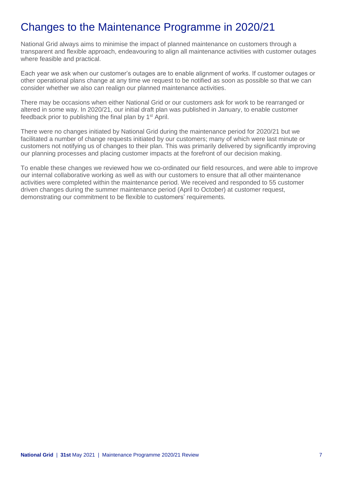### Changes to the Maintenance Programme in 2020/21

National Grid always aims to minimise the impact of planned maintenance on customers through a transparent and flexible approach, endeavouring to align all maintenance activities with customer outages where feasible and practical.

Each year we ask when our customer's outages are to enable alignment of works. If customer outages or other operational plans change at any time we request to be notified as soon as possible so that we can consider whether we also can realign our planned maintenance activities.

There may be occasions when either National Grid or our customers ask for work to be rearranged or altered in some way. In 2020/21, our initial draft plan was published in January, to enable customer feedback prior to publishing the final plan by 1<sup>st</sup> April.

There were no changes initiated by National Grid during the maintenance period for 2020/21 but we facilitated a number of change requests initiated by our customers; many of which were last minute or customers not notifying us of changes to their plan. This was primarily delivered by significantly improving our planning processes and placing customer impacts at the forefront of our decision making.

To enable these changes we reviewed how we co-ordinated our field resources, and were able to improve our internal collaborative working as well as with our customers to ensure that all other maintenance activities were completed within the maintenance period. We received and responded to 55 customer driven changes during the summer maintenance period (April to October) at customer request, demonstrating our commitment to be flexible to customers' requirements.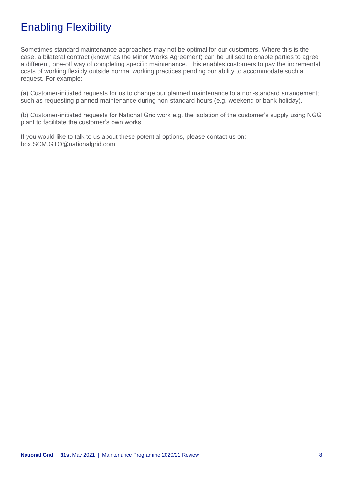### Enabling Flexibility

Sometimes standard maintenance approaches may not be optimal for our customers. Where this is the case, a bilateral contract (known as the Minor Works Agreement) can be utilised to enable parties to agree a different, one-off way of completing specific maintenance. This enables customers to pay the incremental costs of working flexibly outside normal working practices pending our ability to accommodate such a request. For example:

(a) Customer-initiated requests for us to change our planned maintenance to a non-standard arrangement; such as requesting planned maintenance during non-standard hours (e.g. weekend or bank holiday).

(b) Customer-initiated requests for National Grid work e.g. the isolation of the customer's supply using NGG plant to facilitate the customer's own works

If you would like to talk to us about these potential options, please contact us on: box.SCM.GTO@nationalgrid.com